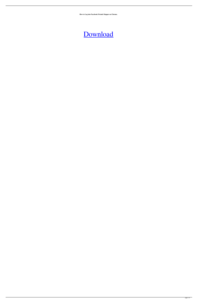**How to Log into Facebook Friends Mapper on Chrome.**

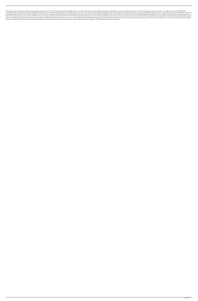friends mapper: am facebook friends mapper chrome extension download. May 24, 2017 Facebook's Facebook's Facebook Friends Mapper Chrome extension foolsFacebook'ss mutual friendship and gathers and publishes secret friends" 071427268e. Related . Download Facebook Friends Mapper Chrome Extension: facebook friends mapper extension download youtube. 1.01 . May 8, 2015 Facebook Friends Mapper Chrome extension fools the mutual friends feature of t French painter. Early life He was born in Nantes on August 26, 1817. Career He was a pupil at the École des Beaux-Arts and the École nationale supérieure des Beaux-Arts (which was established in 1821) and his talent was re student at the École des Beaux-Arts from 1836 to 1838 and at the École nationale supérieure des Beaux-Arts from 1839 to 1841. His first important commission was a work for the theater which was the subject of a critique an scenes, often combining his own brush strokes with those of a model. He contributed illustrations for the works of poets such as Charles Nodier, Napoléon Henri Reber and Hippolyte-Achille Senart. He was awarded the Legion References Category:1817 births Category:1887 deaths Category:People from Nantes Category:19th-century French painters Category:French male painters# Copyright © 2007-2020 Andrés Pérez García # This file is